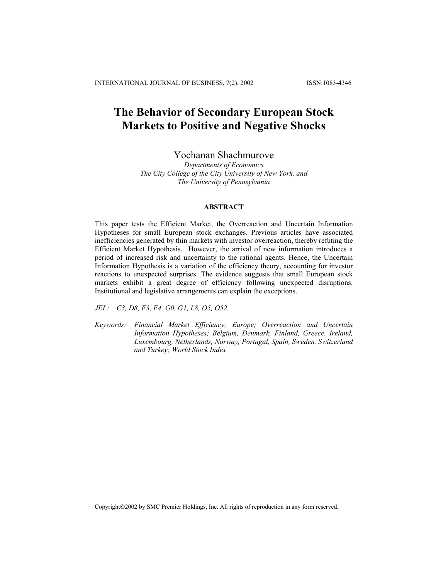INTERNATIONAL JOURNAL OF BUSINESS, 7(2), 2002 ISSN:1083-4346

# **The Behavior of Secondary European Stock Markets to Positive and Negative Shocks**

# Yochanan Shachmurove

*Departments of Economics The City College of the City University of New York, and The University of Pennsylvania*

# **ABSTRACT**

This paper tests the Efficient Market, the Overreaction and Uncertain Information Hypotheses for small European stock exchanges. Previous articles have associated inefficiencies generated by thin markets with investor overreaction, thereby refuting the Efficient Market Hypothesis. However, the arrival of new information introduces a period of increased risk and uncertainty to the rational agents. Hence, the Uncertain Information Hypothesis is a variation of the efficiency theory, accounting for investor reactions to unexpected surprises. The evidence suggests that small European stock markets exhibit a great degree of efficiency following unexpected disruptions. Institutional and legislative arrangements can explain the exceptions.

*JEL: C3, D8, F3, F4, G0, G1, L8, O5, O52.* 

*Keywords: Financial Market Efficiency; Europe; Overreaction and Uncertain Information Hypotheses; Belgium, Denmark, Finland, Greece, Ireland, Luxembourg, Netherlands, Norway, Portugal, Spain, Sweden, Switzerland and Turkey; World Stock Index* 

Copyright©2002 by SMC Premier Holdings, Inc. All rights of reproduction in any form reserved.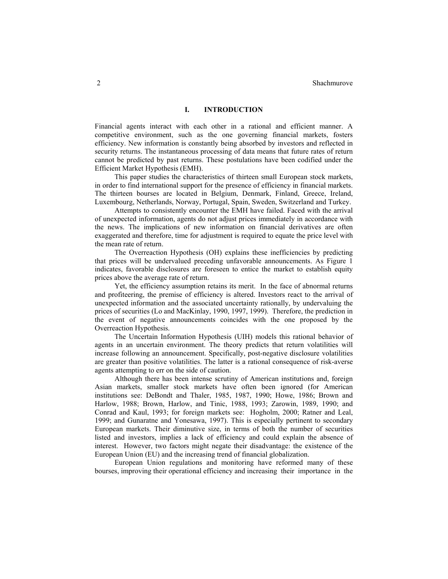# **I. INTRODUCTION**

Financial agents interact with each other in a rational and efficient manner. A competitive environment, such as the one governing financial markets, fosters efficiency. New information is constantly being absorbed by investors and reflected in security returns. The instantaneous processing of data means that future rates of return cannot be predicted by past returns. These postulations have been codified under the Efficient Market Hypothesis (EMH).

This paper studies the characteristics of thirteen small European stock markets, in order to find international support for the presence of efficiency in financial markets. The thirteen bourses are located in Belgium, Denmark, Finland, Greece, Ireland, Luxembourg, Netherlands, Norway, Portugal, Spain, Sweden, Switzerland and Turkey.

Attempts to consistently encounter the EMH have failed. Faced with the arrival of unexpected information, agents do not adjust prices immediately in accordance with the news. The implications of new information on financial derivatives are often exaggerated and therefore, time for adjustment is required to equate the price level with the mean rate of return.

The Overreaction Hypothesis (OH) explains these inefficiencies by predicting that prices will be undervalued preceding unfavorable announcements. As Figure 1 indicates, favorable disclosures are foreseen to entice the market to establish equity prices above the average rate of return.

Yet, the efficiency assumption retains its merit. In the face of abnormal returns and profiteering, the premise of efficiency is altered. Investors react to the arrival of unexpected information and the associated uncertainty rationally, by undervaluing the prices of securities (Lo and MacKinlay, 1990, 1997, 1999). Therefore, the prediction in the event of negative announcements coincides with the one proposed by the Overreaction Hypothesis.

The Uncertain Information Hypothesis (UIH) models this rational behavior of agents in an uncertain environment. The theory predicts that return volatilities will increase following an announcement. Specifically, post-negative disclosure volatilities are greater than positive volatilities. The latter is a rational consequence of risk-averse agents attempting to err on the side of caution.

Although there has been intense scrutiny of American institutions and, foreign Asian markets, smaller stock markets have often been ignored (for American institutions see: DeBondt and Thaler, 1985, 1987, 1990; Howe, 1986; Brown and Harlow, 1988; Brown, Harlow, and Tinic, 1988, 1993; Zarowin, 1989, 1990; and Conrad and Kaul, 1993; for foreign markets see: Hogholm, 2000; Ratner and Leal, 1999; and Gunaratne and Yonesawa, 1997). This is especially pertinent to secondary European markets. Their diminutive size, in terms of both the number of securities listed and investors, implies a lack of efficiency and could explain the absence of interest. However, two factors might negate their disadvantage: the existence of the European Union (EU) and the increasing trend of financial globalization.

European Union regulations and monitoring have reformed many of these bourses, improving their operational efficiency and increasing their importance in the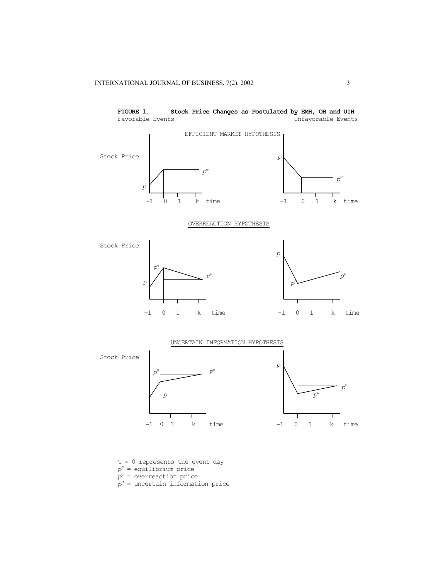

**FIGURE 1. Stock Price Changes as Postulated by EMH, OH and UIH** Favorable Events Unfavorable Events

- t = 0 represents the event day
- *pe* = equilibrium price
- *po* = overreaction price
- *pu* = uncertain information price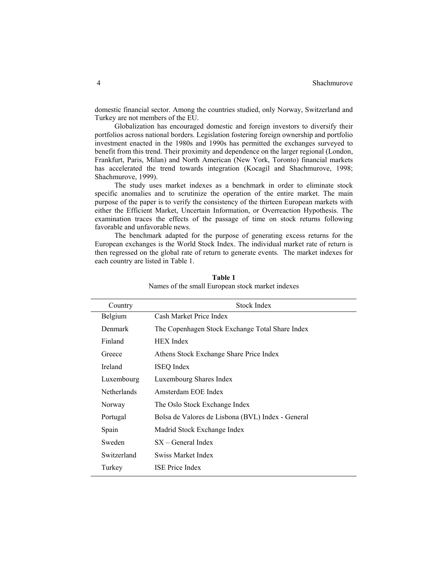#### 4 Shachmurove

domestic financial sector. Among the countries studied, only Norway, Switzerland and Turkey are not members of the EU.

Globalization has encouraged domestic and foreign investors to diversify their portfolios across national borders. Legislation fostering foreign ownership and portfolio investment enacted in the 1980s and 1990s has permitted the exchanges surveyed to benefit from this trend. Their proximity and dependence on the larger regional (London, Frankfurt, Paris, Milan) and North American (New York, Toronto) financial markets has accelerated the trend towards integration (Kocagil and Shachmurove, 1998; Shachmurove, 1999).

The study uses market indexes as a benchmark in order to eliminate stock specific anomalies and to scrutinize the operation of the entire market. The main purpose of the paper is to verify the consistency of the thirteen European markets with either the Efficient Market, Uncertain Information, or Overreaction Hypothesis. The examination traces the effects of the passage of time on stock returns following favorable and unfavorable news.

The benchmark adapted for the purpose of generating excess returns for the European exchanges is the World Stock Index. The individual market rate of return is then regressed on the global rate of return to generate events. The market indexes for each country are listed in Table 1.

| Country |                    | Stock Index                                       |  |  |
|---------|--------------------|---------------------------------------------------|--|--|
|         | Belgium            | Cash Market Price Index                           |  |  |
|         | <b>Denmark</b>     | The Copenhagen Stock Exchange Total Share Index   |  |  |
|         | Finland            | <b>HEX</b> Index                                  |  |  |
|         | Greece             | Athens Stock Exchange Share Price Index           |  |  |
|         | Ireland            | <b>ISEQ</b> Index                                 |  |  |
|         | Luxembourg         | Luxembourg Shares Index                           |  |  |
|         | <b>Netherlands</b> | Amsterdam EOE Index                               |  |  |
|         | Norway             | The Oslo Stock Exchange Index                     |  |  |
|         | Portugal           | Bolsa de Valores de Lisbona (BVL) Index - General |  |  |
|         | Spain              | Madrid Stock Exchange Index                       |  |  |
|         | Sweden             | $SX - General Index$                              |  |  |
|         | Switzerland        | Swiss Market Index                                |  |  |
|         | Turkey             | <b>ISE</b> Price Index                            |  |  |
|         |                    |                                                   |  |  |

**Table 1**  Names of the small European stock market indexes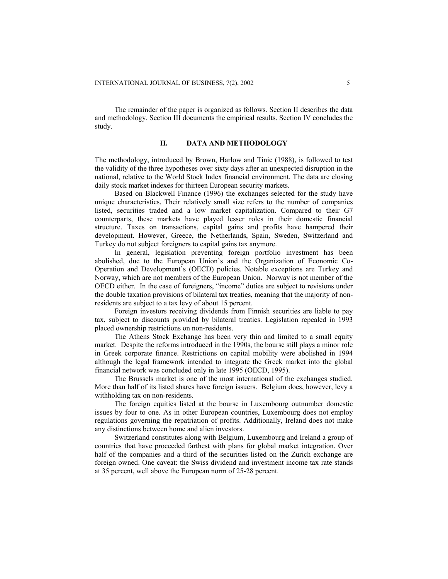The remainder of the paper is organized as follows. Section II describes the data and methodology. Section III documents the empirical results. Section IV concludes the study.

#### **II. DATA AND METHODOLOGY**

The methodology, introduced by Brown, Harlow and Tinic (1988), is followed to test the validity of the three hypotheses over sixty days after an unexpected disruption in the national, relative to the World Stock Index financial environment. The data are closing daily stock market indexes for thirteen European security markets.

Based on Blackwell Finance (1996) the exchanges selected for the study have unique characteristics. Their relatively small size refers to the number of companies listed, securities traded and a low market capitalization. Compared to their G7 counterparts, these markets have played lesser roles in their domestic financial structure. Taxes on transactions, capital gains and profits have hampered their development. However, Greece, the Netherlands, Spain, Sweden, Switzerland and Turkey do not subject foreigners to capital gains tax anymore.

In general, legislation preventing foreign portfolio investment has been abolished, due to the European Union's and the Organization of Economic Co-Operation and Development's (OECD) policies. Notable exceptions are Turkey and Norway, which are not members of the European Union. Norway is not member of the OECD either. In the case of foreigners, "income" duties are subject to revisions under the double taxation provisions of bilateral tax treaties, meaning that the majority of nonresidents are subject to a tax levy of about 15 percent.

Foreign investors receiving dividends from Finnish securities are liable to pay tax, subject to discounts provided by bilateral treaties. Legislation repealed in 1993 placed ownership restrictions on non-residents.

The Athens Stock Exchange has been very thin and limited to a small equity market. Despite the reforms introduced in the 1990s, the bourse still plays a minor role in Greek corporate finance. Restrictions on capital mobility were abolished in 1994 although the legal framework intended to integrate the Greek market into the global financial network was concluded only in late 1995 (OECD, 1995).

The Brussels market is one of the most international of the exchanges studied. More than half of its listed shares have foreign issuers. Belgium does, however, levy a withholding tax on non-residents.

The foreign equities listed at the bourse in Luxembourg outnumber domestic issues by four to one. As in other European countries, Luxembourg does not employ regulations governing the repatriation of profits. Additionally, Ireland does not make any distinctions between home and alien investors.

Switzerland constitutes along with Belgium, Luxembourg and Ireland a group of countries that have proceeded farthest with plans for global market integration. Over half of the companies and a third of the securities listed on the Zurich exchange are foreign owned. One caveat: the Swiss dividend and investment income tax rate stands at 35 percent, well above the European norm of 25-28 percent.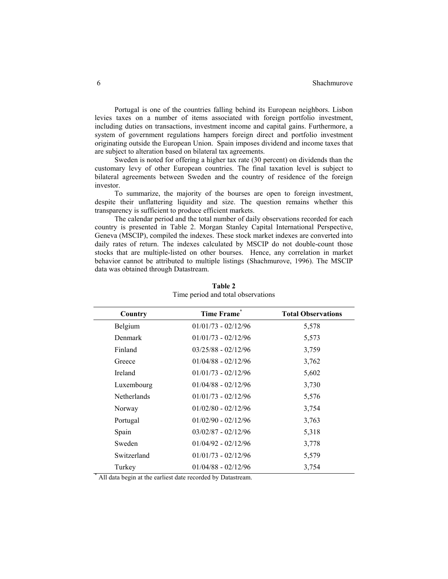Portugal is one of the countries falling behind its European neighbors. Lisbon levies taxes on a number of items associated with foreign portfolio investment, including duties on transactions, investment income and capital gains. Furthermore, a system of government regulations hampers foreign direct and portfolio investment originating outside the European Union. Spain imposes dividend and income taxes that are subject to alteration based on bilateral tax agreements.

Sweden is noted for offering a higher tax rate (30 percent) on dividends than the customary levy of other European countries. The final taxation level is subject to bilateral agreements between Sweden and the country of residence of the foreign investor.

To summarize, the majority of the bourses are open to foreign investment, despite their unflattering liquidity and size. The question remains whether this transparency is sufficient to produce efficient markets.

The calendar period and the total number of daily observations recorded for each country is presented in Table 2. Morgan Stanley Capital International Perspective, Geneva (MSCIP), compiled the indexes. These stock market indexes are converted into daily rates of return. The indexes calculated by MSCIP do not double-count those stocks that are multiple-listed on other bourses. Hence, any correlation in market behavior cannot be attributed to multiple listings (Shachmurove, 1996). The MSCIP data was obtained through Datastream.

| Country     | Time Frame <sup>®</sup>                                     | <b>Total Observations</b> |
|-------------|-------------------------------------------------------------|---------------------------|
| Belgium     | $01/01/73 - 02/12/96$                                       | 5,578                     |
| Denmark     | $01/01/73 - 02/12/96$                                       | 5,573                     |
| Finland     | $03/25/88 - 02/12/96$                                       | 3,759                     |
| Greece      | $01/04/88 - 02/12/96$                                       | 3,762                     |
| Ireland     | $01/01/73 - 02/12/96$                                       | 5,602                     |
| Luxembourg  | $01/04/88 - 02/12/96$                                       | 3,730                     |
| Netherlands | $01/01/73 - 02/12/96$                                       | 5,576                     |
| Norway      | $01/02/80 - 02/12/96$                                       | 3,754                     |
| Portugal    | $01/02/90 - 02/12/96$                                       | 3,763                     |
| Spain       | $03/02/87 - 02/12/96$                                       | 5,318                     |
| Sweden      | $01/04/92 - 02/12/96$                                       | 3,778                     |
| Switzerland | $01/01/73 - 02/12/96$                                       | 5,579                     |
| Turkey      | $01/04/88 - 02/12/96$                                       | 3,754                     |
|             | All data begin at the earliest date recorded by Datastream. |                           |

**Table 2**  Time period and total observations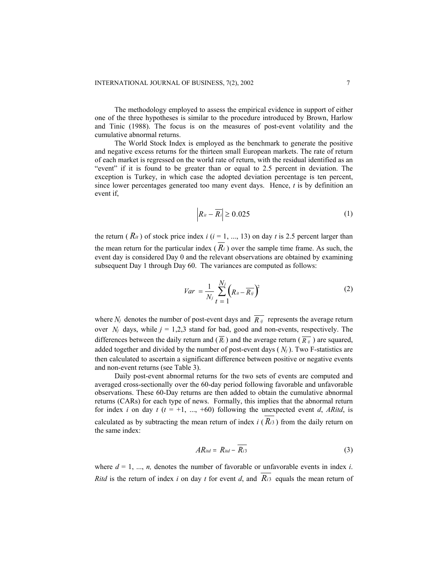The methodology employed to assess the empirical evidence in support of either one of the three hypotheses is similar to the procedure introduced by Brown, Harlow and Tinic (1988). The focus is on the measures of post-event volatility and the cumulative abnormal returns.

The World Stock Index is employed as the benchmark to generate the positive and negative excess returns for the thirteen small European markets. The rate of return of each market is regressed on the world rate of return, with the residual identified as an "event" if it is found to be greater than or equal to 2.5 percent in deviation. The exception is Turkey, in which case the adopted deviation percentage is ten percent, since lower percentages generated too many event days. Hence, *t* is by definition an event if,

$$
\left| R_{ii} - \overline{R_i} \right| \ge 0.025 \tag{1}
$$

the return ( $\dot{R}_{it}$ ) of stock price index *i* ( $i = 1, ..., 13$ ) on day *t* is 2.5 percent larger than the mean return for the particular index  $(R_i)$  over the sample time frame. As such, the event day is considered Day 0 and the relevant observations are obtained by examining subsequent Day 1 through Day 60. The variances are computed as follows:

$$
Var = \frac{1}{N_j} \sum_{t=1}^{N_j} \left( R_{it} - \overline{R_{ij}} \right)^2 \tag{2}
$$

where  $N_i$  denotes the number of post-event days and  $\overline{R}_{ij}$  represents the average return over  $N_i$  days, while  $j = 1,2,3$  stand for bad, good and non-events, respectively. The differences between the daily return and  $(\overline{R_i})$  and the average return  $(\overline{R_i})$  are squared, added together and divided by the number of post-event days  $(N<sub>j</sub>)$ . Two F-statistics are then calculated to ascertain a significant difference between positive or negative events and non-event returns (see Table 3).

Daily post-event abnormal returns for the two sets of events are computed and averaged cross-sectionally over the 60-day period following favorable and unfavorable observations. These 60-Day returns are then added to obtain the cumulative abnormal returns (CARs) for each type of news. Formally, this implies that the abnormal return for index *i* on day  $t$  ( $t = +1, ..., +60$ ) following the unexpected event *d*, *ARitd*, is calculated as by subtracting the mean return of index  $i$  ( $\dot{R}$ ) from the daily return on the same index:

$$
AR_{itd} = R_{itd} - \overline{R_{i3}}
$$
 (3)

where  $d = 1, ..., n$ , denotes the number of favorable or unfavorable events in index *i*. *Ritd* is the return of index *i* on day *t* for event *d*, and  $R_{i3}$  equals the mean return of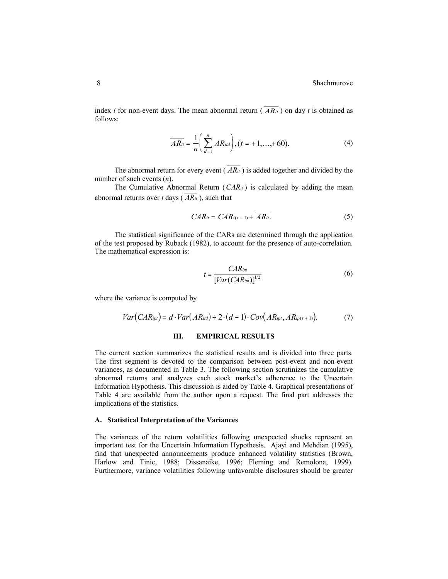index *i* for non-event days. The mean abnormal return ( $\overline{AR_{it}}$ ) on day *t* is obtained as follows:

$$
\overline{AR_{ii}} = \frac{1}{n} \left( \sum_{d=1}^{n} AR_{iid} \right), (t = +1, ..., +60).
$$
 (4)

The abnormal return for every event  $(R_{i}R_{i}$  ) is added together and divided by the number of such events (*n*).

The Cumulative Abnormal Return  $(CAR_{it})$  is calculated by adding the mean abnormal returns over  $t$  days ( $AR_{it}$ ), such that

$$
CAR_{it} = CAR_{i(t-1)} + \overline{AR_{it}}.
$$
 (5)

The statistical significance of the CARs are determined through the application of the test proposed by Ruback (1982), to account for the presence of auto-correlation. The mathematical expression is:

$$
t = \frac{CAR_{ipt}}{[Var(CAR_{ipt})]^{1/2}}
$$
 (6)

where the variance is computed by

$$
Var(CAR_{ipt}) = d \cdot Var(AR_{ind}) + 2 \cdot (d-1) \cdot Cov(AR_{ipt}, AR_{ip(t+1)}).
$$
 (7)

## **III. EMPIRICAL RESULTS**

The current section summarizes the statistical results and is divided into three parts. The first segment is devoted to the comparison between post-event and non-event variances, as documented in Table 3. The following section scrutinizes the cumulative abnormal returns and analyzes each stock market's adherence to the Uncertain Information Hypothesis. This discussion is aided by Table 4. Graphical presentations of Table 4 are available from the author upon a request. The final part addresses the implications of the statistics.

#### **A. Statistical Interpretation of the Variances**

The variances of the return volatilities following unexpected shocks represent an important test for the Uncertain Information Hypothesis. Ajayi and Mehdian (1995), find that unexpected announcements produce enhanced volatility statistics (Brown, Harlow and Tinic, 1988; Dissanaike, 1996; Fleming and Remolona, 1999). Furthermore, variance volatilities following unfavorable disclosures should be greater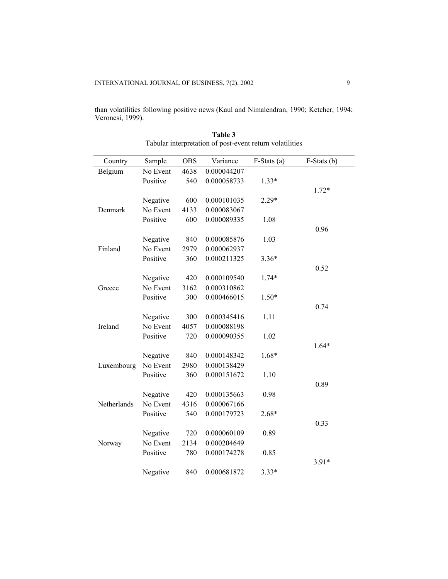than volatilities following positive news (Kaul and Nimalendran, 1990; Ketcher, 1994; Veronesi, 1999).

| Country     | Sample   | <b>OBS</b> | Variance    | F-Stats (a) | $F-Stats$ (b) |
|-------------|----------|------------|-------------|-------------|---------------|
| Belgium     | No Event | 4638       | 0.000044207 |             |               |
|             | Positive | 540        | 0.000058733 | $1.33*$     |               |
|             |          |            |             |             | $1.72*$       |
|             | Negative | 600        | 0.000101035 | $2.29*$     |               |
| Denmark     | No Event | 4133       | 0.000083067 |             |               |
|             | Positive | 600        | 0.000089335 | 1.08        |               |
|             |          |            |             |             | 0.96          |
|             | Negative | 840        | 0.000085876 | 1.03        |               |
| Finland     | No Event | 2979       | 0.000062937 |             |               |
|             | Positive | 360        | 0.000211325 | $3.36*$     |               |
|             |          |            |             |             | 0.52          |
|             | Negative | 420        | 0.000109540 | $1.74*$     |               |
| Greece      | No Event | 3162       | 0.000310862 |             |               |
|             | Positive | 300        | 0.000466015 | $1.50*$     |               |
|             |          |            |             |             | 0.74          |
|             | Negative | 300        | 0.000345416 | 1.11        |               |
| Ireland     | No Event | 4057       | 0.000088198 |             |               |
|             | Positive | 720        | 0.000090355 | 1.02        |               |
|             |          |            |             |             | $1.64*$       |
|             | Negative | 840        | 0.000148342 | 1.68*       |               |
| Luxembourg  | No Event | 2980       | 0.000138429 |             |               |
|             | Positive | 360        | 0.000151672 | 1.10        |               |
|             |          |            |             |             | 0.89          |
|             | Negative | 420        | 0.000135663 | 0.98        |               |
| Netherlands | No Event | 4316       | 0.000067166 |             |               |
|             | Positive | 540        | 0.000179723 | 2.68*       |               |
|             |          |            |             |             | 0.33          |
|             | Negative | 720        | 0.000060109 | 0.89        |               |
| Norway      | No Event | 2134       | 0.000204649 |             |               |
|             | Positive | 780        | 0.000174278 | 0.85        |               |
|             |          |            |             |             | $3.91*$       |
|             | Negative | 840        | 0.000681872 | $3.33*$     |               |

**Table 3**  Tabular interpretation of post-event return volatilities

 $\overline{\phantom{0}}$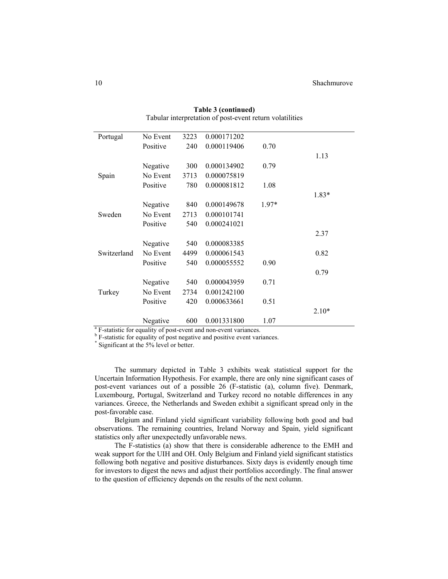| Portugal    | No Event | 3223 | 0.000171202                                                                  |         |         |
|-------------|----------|------|------------------------------------------------------------------------------|---------|---------|
|             | Positive | 240  | 0.000119406                                                                  | 0.70    |         |
|             |          |      |                                                                              |         | 1.13    |
|             | Negative | 300  | 0.000134902                                                                  | 0.79    |         |
| Spain       | No Event | 3713 | 0.000075819                                                                  |         |         |
|             | Positive | 780  | 0.000081812                                                                  | 1.08    |         |
|             |          |      |                                                                              |         | $1.83*$ |
|             | Negative | 840  | 0.000149678                                                                  | $1.97*$ |         |
| Sweden      | No Event | 2713 | 0.000101741                                                                  |         |         |
|             | Positive | 540  | 0.000241021                                                                  |         |         |
|             |          |      |                                                                              |         | 2.37    |
|             | Negative | 540  | 0.000083385                                                                  |         |         |
| Switzerland | No Event | 4499 | 0.000061543                                                                  |         | 0.82    |
|             | Positive | 540  | 0.000055552                                                                  | 0.90    |         |
|             |          |      |                                                                              |         | 0.79    |
|             | Negative | 540  | 0.000043959                                                                  | 0.71    |         |
| Turkey      | No Event | 2734 | 0.001242100                                                                  |         |         |
|             | Positive | 420  | 0.000633661                                                                  | 0.51    |         |
|             |          |      |                                                                              |         | $2.10*$ |
|             | Negative | 600  | 0.001331800                                                                  | 1.07    |         |
|             |          |      | <sup>a</sup> F-statistic for equality of post-event and non-event variances. |         |         |

**Table 3 (continued)**  Tabular interpretation of post-event return volatilities

 $b$  F-statistic for equality of post negative and positive event variances.

Significant at the 5% level or better.

The summary depicted in Table 3 exhibits weak statistical support for the Uncertain Information Hypothesis. For example, there are only nine significant cases of post-event variances out of a possible 26 (F-statistic (a), column five). Denmark, Luxembourg, Portugal, Switzerland and Turkey record no notable differences in any variances. Greece, the Netherlands and Sweden exhibit a significant spread only in the post-favorable case.

Belgium and Finland yield significant variability following both good and bad observations. The remaining countries, Ireland Norway and Spain, yield significant statistics only after unexpectedly unfavorable news.

The F-statistics (a) show that there is considerable adherence to the EMH and weak support for the UIH and OH. Only Belgium and Finland yield significant statistics following both negative and positive disturbances. Sixty days is evidently enough time for investors to digest the news and adjust their portfolios accordingly. The final answer to the question of efficiency depends on the results of the next column.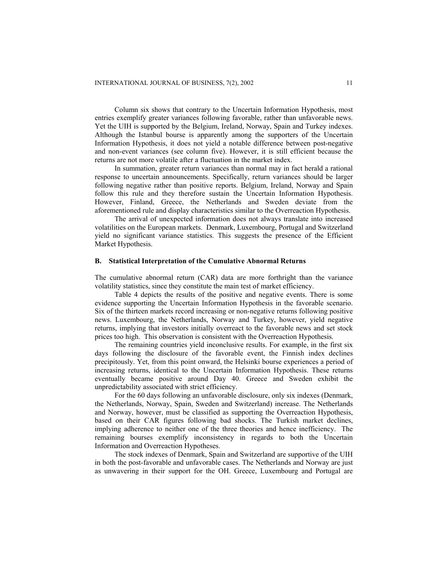Column six shows that contrary to the Uncertain Information Hypothesis, most entries exemplify greater variances following favorable, rather than unfavorable news. Yet the UIH is supported by the Belgium, Ireland, Norway, Spain and Turkey indexes. Although the Istanbul bourse is apparently among the supporters of the Uncertain Information Hypothesis, it does not yield a notable difference between post-negative and non-event variances (see column five). However, it is still efficient because the returns are not more volatile after a fluctuation in the market index.

In summation, greater return variances than normal may in fact herald a rational response to uncertain announcements. Specifically, return variances should be larger following negative rather than positive reports. Belgium, Ireland, Norway and Spain follow this rule and they therefore sustain the Uncertain Information Hypothesis. However, Finland, Greece, the Netherlands and Sweden deviate from the aforementioned rule and display characteristics similar to the Overreaction Hypothesis.

The arrival of unexpected information does not always translate into increased volatilities on the European markets. Denmark, Luxembourg, Portugal and Switzerland yield no significant variance statistics. This suggests the presence of the Efficient Market Hypothesis.

# **B. Statistical Interpretation of the Cumulative Abnormal Returns**

The cumulative abnormal return (CAR) data are more forthright than the variance volatility statistics, since they constitute the main test of market efficiency.

Table 4 depicts the results of the positive and negative events. There is some evidence supporting the Uncertain Information Hypothesis in the favorable scenario. Six of the thirteen markets record increasing or non-negative returns following positive news. Luxembourg, the Netherlands, Norway and Turkey, however, yield negative returns, implying that investors initially overreact to the favorable news and set stock prices too high. This observation is consistent with the Overreaction Hypothesis.

The remaining countries yield inconclusive results. For example, in the first six days following the disclosure of the favorable event, the Finnish index declines precipitously. Yet, from this point onward, the Helsinki bourse experiences a period of increasing returns, identical to the Uncertain Information Hypothesis. These returns eventually became positive around Day 40. Greece and Sweden exhibit the unpredictability associated with strict efficiency.

For the 60 days following an unfavorable disclosure, only six indexes (Denmark, the Netherlands, Norway, Spain, Sweden and Switzerland) increase. The Netherlands and Norway, however, must be classified as supporting the Overreaction Hypothesis, based on their CAR figures following bad shocks. The Turkish market declines, implying adherence to neither one of the three theories and hence inefficiency. The remaining bourses exemplify inconsistency in regards to both the Uncertain Information and Overreaction Hypotheses.

The stock indexes of Denmark, Spain and Switzerland are supportive of the UIH in both the post-favorable and unfavorable cases. The Netherlands and Norway are just as unwavering in their support for the OH. Greece, Luxembourg and Portugal are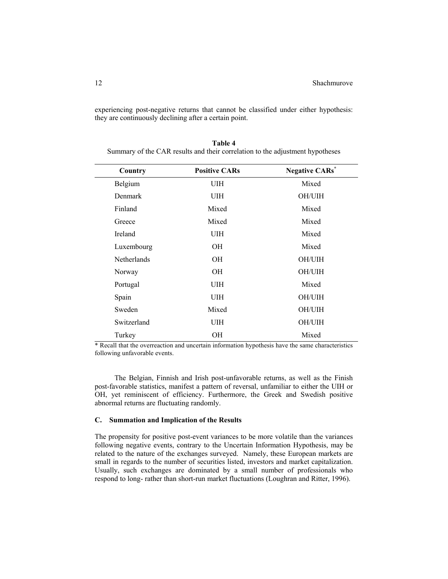experiencing post-negative returns that cannot be classified under either hypothesis: they are continuously declining after a certain point.

| Country            | <b>Positive CARs</b> | <b>Negative CARs<sup>*</sup></b> |
|--------------------|----------------------|----------------------------------|
| Belgium            | UIH                  | Mixed                            |
| Denmark            | UIH                  | OH/UIH                           |
| Finland            | Mixed                | Mixed                            |
| Greece             | Mixed                | Mixed                            |
| <b>Ireland</b>     | UIH                  | Mixed                            |
| Luxembourg         | OН                   | Mixed                            |
| <b>Netherlands</b> | OН                   | OH/UIH                           |
| Norway             | OН                   | OH/UIH                           |
| Portugal           | UIH                  | Mixed                            |
| Spain              | UIH                  | OH/UIH                           |
| Sweden             | Mixed                | OH/UIH                           |
| Switzerland        | UIH                  | OH/UIH                           |
| Turkey             | OН                   | Mixed                            |

**Table 4**  Summary of the CAR results and their correlation to the adjustment hypotheses

\* Recall that the overreaction and uncertain information hypothesis have the same characteristics following unfavorable events.

The Belgian, Finnish and Irish post-unfavorable returns, as well as the Finish post-favorable statistics, manifest a pattern of reversal, unfamiliar to either the UIH or OH, yet reminiscent of efficiency. Furthermore, the Greek and Swedish positive abnormal returns are fluctuating randomly.

# **C. Summation and Implication of the Results**

The propensity for positive post-event variances to be more volatile than the variances following negative events, contrary to the Uncertain Information Hypothesis, may be related to the nature of the exchanges surveyed. Namely, these European markets are small in regards to the number of securities listed, investors and market capitalization. Usually, such exchanges are dominated by a small number of professionals who respond to long- rather than short-run market fluctuations (Loughran and Ritter, 1996).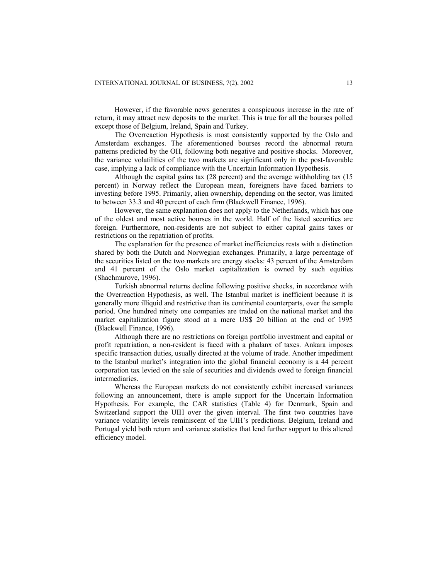However, if the favorable news generates a conspicuous increase in the rate of return, it may attract new deposits to the market. This is true for all the bourses polled except those of Belgium, Ireland, Spain and Turkey.

The Overreaction Hypothesis is most consistently supported by the Oslo and Amsterdam exchanges. The aforementioned bourses record the abnormal return patterns predicted by the OH, following both negative and positive shocks. Moreover, the variance volatilities of the two markets are significant only in the post-favorable case, implying a lack of compliance with the Uncertain Information Hypothesis.

Although the capital gains tax (28 percent) and the average withholding tax (15 percent) in Norway reflect the European mean, foreigners have faced barriers to investing before 1995. Primarily, alien ownership, depending on the sector, was limited to between 33.3 and 40 percent of each firm (Blackwell Finance, 1996).

However, the same explanation does not apply to the Netherlands, which has one of the oldest and most active bourses in the world. Half of the listed securities are foreign. Furthermore, non-residents are not subject to either capital gains taxes or restrictions on the repatriation of profits.

The explanation for the presence of market inefficiencies rests with a distinction shared by both the Dutch and Norwegian exchanges. Primarily, a large percentage of the securities listed on the two markets are energy stocks: 43 percent of the Amsterdam and 41 percent of the Oslo market capitalization is owned by such equities (Shachmurove, 1996).

Turkish abnormal returns decline following positive shocks, in accordance with the Overreaction Hypothesis, as well. The Istanbul market is inefficient because it is generally more illiquid and restrictive than its continental counterparts, over the sample period. One hundred ninety one companies are traded on the national market and the market capitalization figure stood at a mere US\$ 20 billion at the end of 1995 (Blackwell Finance, 1996).

Although there are no restrictions on foreign portfolio investment and capital or profit repatriation, a non-resident is faced with a phalanx of taxes. Ankara imposes specific transaction duties, usually directed at the volume of trade. Another impediment to the Istanbul market's integration into the global financial economy is a 44 percent corporation tax levied on the sale of securities and dividends owed to foreign financial intermediaries.

Whereas the European markets do not consistently exhibit increased variances following an announcement, there is ample support for the Uncertain Information Hypothesis. For example, the CAR statistics (Table 4) for Denmark, Spain and Switzerland support the UIH over the given interval. The first two countries have variance volatility levels reminiscent of the UIH's predictions. Belgium, Ireland and Portugal yield both return and variance statistics that lend further support to this altered efficiency model.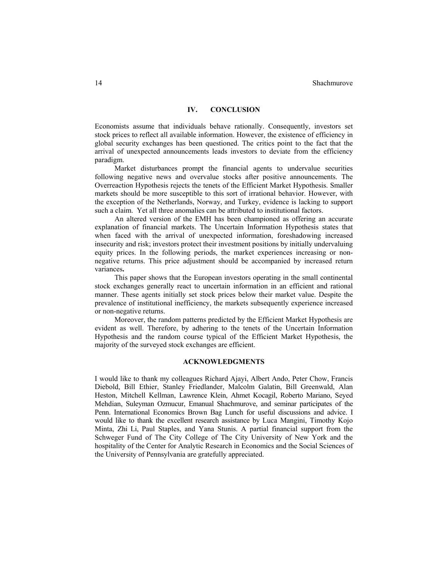## **IV. CONCLUSION**

Economists assume that individuals behave rationally. Consequently, investors set stock prices to reflect all available information. However, the existence of efficiency in global security exchanges has been questioned. The critics point to the fact that the arrival of unexpected announcements leads investors to deviate from the efficiency paradigm.

Market disturbances prompt the financial agents to undervalue securities following negative news and overvalue stocks after positive announcements. The Overreaction Hypothesis rejects the tenets of the Efficient Market Hypothesis. Smaller markets should be more susceptible to this sort of irrational behavior. However, with the exception of the Netherlands, Norway, and Turkey, evidence is lacking to support such a claim. Yet all three anomalies can be attributed to institutional factors.

An altered version of the EMH has been championed as offering an accurate explanation of financial markets. The Uncertain Information Hypothesis states that when faced with the arrival of unexpected information, foreshadowing increased insecurity and risk; investors protect their investment positions by initially undervaluing equity prices. In the following periods, the market experiences increasing or nonnegative returns. This price adjustment should be accompanied by increased return variances**.** 

This paper shows that the European investors operating in the small continental stock exchanges generally react to uncertain information in an efficient and rational manner. These agents initially set stock prices below their market value. Despite the prevalence of institutional inefficiency, the markets subsequently experience increased or non-negative returns.

Moreover, the random patterns predicted by the Efficient Market Hypothesis are evident as well. Therefore, by adhering to the tenets of the Uncertain Information Hypothesis and the random course typical of the Efficient Market Hypothesis, the majority of the surveyed stock exchanges are efficient.

# **ACKNOWLEDGMENTS**

I would like to thank my colleagues Richard Ajayi, Albert Ando, Peter Chow, Francis Diebold, Bill Ethier, Stanley Friedlander, Malcolm Galatin, Bill Greenwald, Alan Heston, Mitchell Kellman, Lawrence Klein, Ahmet Kocagil, Roberto Mariano, Seyed Mehdian, Suleyman Ozmucur, Emanual Shachmurove, and seminar participates of the Penn. International Economics Brown Bag Lunch for useful discussions and advice. I would like to thank the excellent research assistance by Luca Mangini, Timothy Kojo Minta, Zhi Li, Paul Staples, and Yana Stunis. A partial financial support from the Schweger Fund of The City College of The City University of New York and the hospitality of the Center for Analytic Research in Economics and the Social Sciences of the University of Pennsylvania are gratefully appreciated.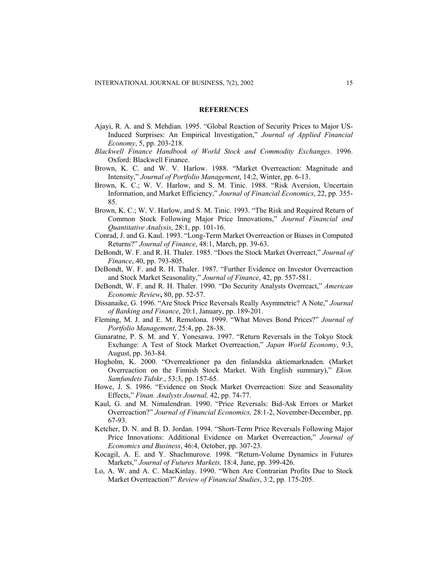#### **REFERENCES**

- Ajayi, R. A. and S. Mehdian. 1995. "Global Reaction of Security Prices to Major US-Induced Surprises: An Empirical Investigation," *Journal of Applied Financial Economy*, 5, pp. 203-218.
- *Blackwell Finance Handbook of World Stock and Commodity Exchanges*. 1996. Oxford: Blackwell Finance.
- Brown, K. C. and W. V. Harlow. 1988. "Market Overreaction: Magnitude and Intensity," *Journal of Portfolio Management*, 14:2, Winter, pp. 6-13.
- Brown, K. C.; W. V. Harlow, and S. M. Tinic. 1988. "Risk Aversion, Uncertain Information, and Market Efficiency," *Journal of Financial Economics*, 22, pp. 355- 85.
- Brown, K. C.; W. V. Harlow, and S. M. Tinic. 1993. "The Risk and Required Return of Common Stock Following Major Price Innovations," *Journal Financial and Quantitative Analysis*, 28:1, pp. 101-16.
- Conrad, J. and G. Kaul. 1993. "Long-Term Market Overreaction or Biases in Computed Returns?" *Journal of Finance*, 48:1, March, pp. 39-63.
- DeBondt, W. F. and R. H. Thaler. 1985. "Does the Stock Market Overreact," *Journal of Finance*, 40, pp. 793-805.
- DeBondt, W. F. and R. H. Thaler. 1987. "Further Evidence on Investor Overreaction and Stock Market Seasonality," *Journal of Finance*, 42, pp. 557-581.
- DeBondt, W. F. and R. H. Thaler. 1990. "Do Security Analysts Overreact," *American Economic Review***,** 80, pp. 52-57.
- Dissanaike, G. 1996. "Are Stock Price Reversals Really Asymmetric? A Note," *Journal of Banking and Finance*, 20:1, January, pp. 189-201.
- Fleming, M. J. and E. M. Remolona. 1999. "What Moves Bond Prices?" *Journal of Portfolio Management*, 25:4, pp. 28-38.
- Gunaratne, P. S. M. and Y. Yonesawa. 1997. "Return Reversals in the Tokyo Stock Exchange: A Test of Stock Market Overreaction," *Japan World Economy*, 9:3, August, pp. 363-84.
- Hogholm, K. 2000. "Overreaktioner pa den finlandska aktiemarknaden. (Market Overreaction on the Finnish Stock Market. With English summary)," *Ekon. Samfundets Tidskr.*, 53:3, pp. 157-65.
- Howe, J. S. 1986. "Evidence on Stock Market Overreaction: Size and Seasonality Effects," *Finan. Analysts Journal,* 42, pp. 74-77.
- Kaul, G. and M. Nimalendran. 1990. "Price Reversals: Bid-Ask Errors or Market Overreaction?" *Journal of Financial Economics,* 28:1-2, November-December, pp. 67-93.
- Ketcher, D. N. and B. D. Jordan. 1994. "Short-Term Price Reversals Following Major Price Innovations: Additional Evidence on Market Overreaction," *Journal of Economics and Business*, 46:4, October, pp. 307-23.
- Kocagil, A. E. and Y. Shachmurove. 1998. "Return-Volume Dynamics in Futures Markets," *Journal of Futures Markets,* 18:4, June, pp. 399-426.
- Lo, A. W. and A. C. MacKinlay. 1990. "When Are Contrarian Profits Due to Stock Market Overreaction?" *Review of Financial Studies*, 3:2, pp. 175-205.